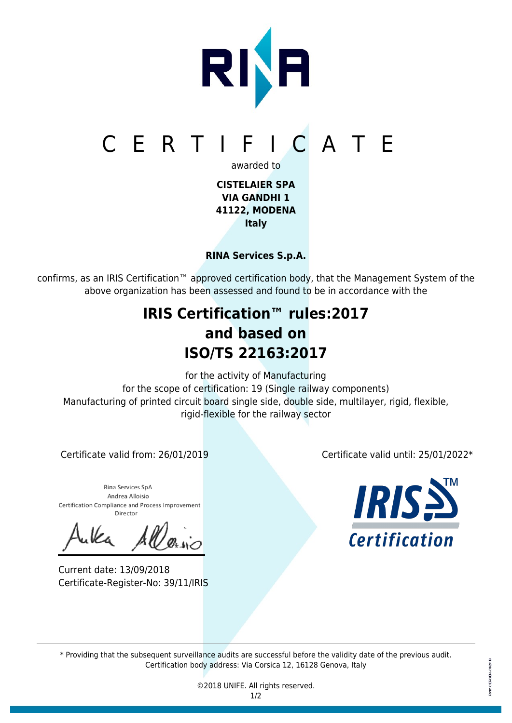

**RINA Services S.p.A.**

confirms, as an IRIS Certification™ approved certification body, that the Management System of the above organization has been assessed and found to be in accordance with the

## **IRIS Certification™ rules:2017 and based on ISO/TS 22163:2017**

for the activity of Manufacturing for the scope of certification: 19 (Single railway components) Manufacturing of printed circuit board single side, double side, multilayer, rigid, flexible, rigid-flexible for the railway sector

Rina Services SpA Andrea Alloisio Certification Compliance and Process Improvement Director

Current date: 13/09/2018 Certificate-Register-No: 39/11/IRIS

Certificate valid from: 26/01/2019 Certificate valid until: 25/01/2022\*



\* Providing that the subsequent surveillance audits are successful before the validity date of the previous audit. Certification body address: Via Corsica 12, 16128 Genova, Italy

> ©2018 UNIFE. All rights reserved. 1/2